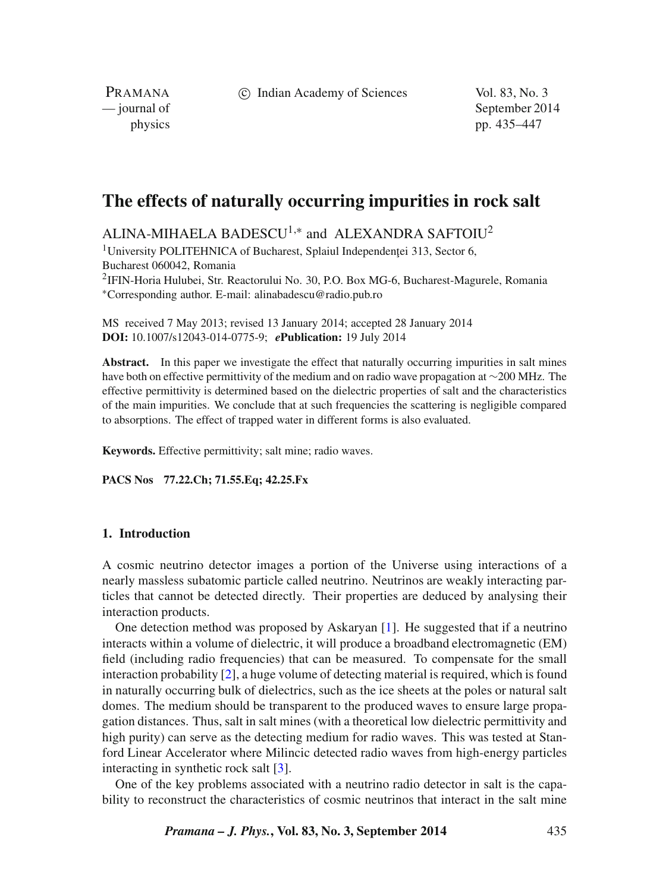c Indian Academy of Sciences Vol. 83, No. 3

PRAMANA

— journal of September 2014 physics pp. 435–447

# **The effects of naturally occurring impurities in rock salt**

ALINA-MIHAELA BADESCU<sup>1,\*</sup> and ALEXANDRA SAFTOIU<sup>2</sup>

<sup>1</sup>University POLITEHNICA of Bucharest, Splaiul Independentei 313, Sector 6, Bucharest 060042, Romania 2IFIN-Horia Hulubei, Str. Reactorului No. 30, P.O. Box MG-6, Bucharest-Magurele, Romania <sup>∗</sup>Corresponding author. E-mail: alinabadescu@radio.pub.ro

MS received 7 May 2013; revised 13 January 2014; accepted 28 January 2014 **DOI:** 10.1007/s12043-014-0775-9; *e***Publication:** 19 July 2014

Abstract. In this paper we investigate the effect that naturally occurring impurities in salt mines have both on effective permittivity of the medium and on radio wave propagation at ∼200 MHz. The effective permittivity is determined based on the dielectric properties of salt and the characteristics of the main impurities. We conclude that at such frequencies the scattering is negligible compared to absorptions. The effect of trapped water in different forms is also evaluated.

**Keywords.** Effective permittivity; salt mine; radio waves.

**PACS Nos 77.22.Ch; 71.55.Eq; 42.25.Fx**

# **1. Introduction**

A cosmic neutrino detector images a portion of the Universe using interactions of a nearly massless subatomic particle called neutrino. Neutrinos are weakly interacting particles that cannot be detected directly. Their properties are deduced by analysing their interaction products.

One detection method was proposed by Askaryan [\[1\]](#page-11-0). He suggested that if a neutrino interacts within a volume of dielectric, it will produce a broadband electromagnetic (EM) field (including radio frequencies) that can be measured. To compensate for the small interaction probability [\[2\]](#page-11-1), a huge volume of detecting material is required, which is found in naturally occurring bulk of dielectrics, such as the ice sheets at the poles or natural salt domes. The medium should be transparent to the produced waves to ensure large propagation distances. Thus, salt in salt mines (with a theoretical low dielectric permittivity and high purity) can serve as the detecting medium for radio waves. This was tested at Stanford Linear Accelerator where Milincic detected radio waves from high-energy particles interacting in synthetic rock salt [\[3\]](#page-12-0).

One of the key problems associated with a neutrino radio detector in salt is the capability to reconstruct the characteristics of cosmic neutrinos that interact in the salt mine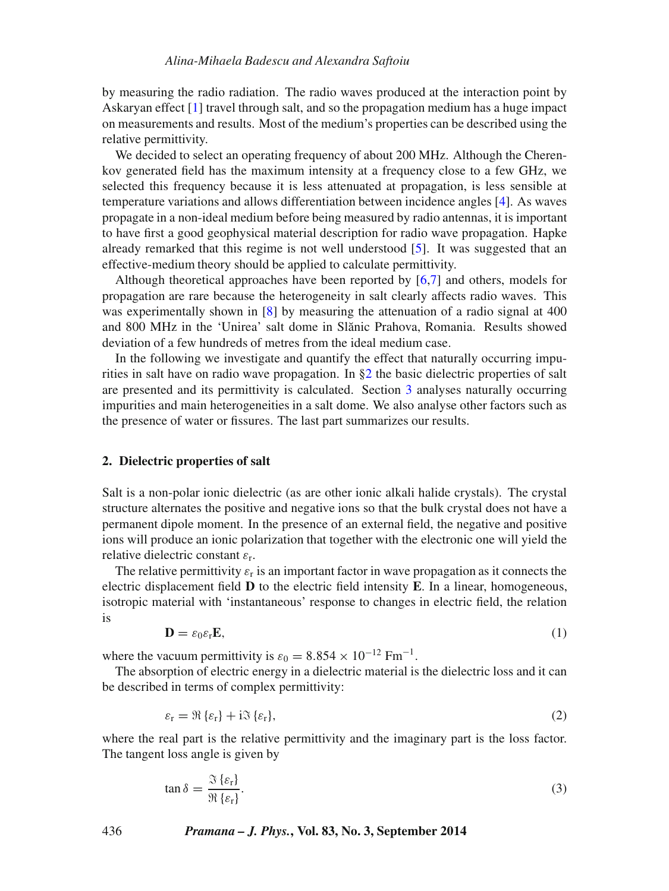by measuring the radio radiation. The radio waves produced at the interaction point by Askaryan effect [\[1\]](#page-11-0) travel through salt, and so the propagation medium has a huge impact on measurements and results. Most of the medium's properties can be described using the relative permittivity.

We decided to select an operating frequency of about 200 MHz. Although the Cherenkov generated field has the maximum intensity at a frequency close to a few GHz, we selected this frequency because it is less attenuated at propagation, is less sensible at temperature variations and allows differentiation between incidence angles [\[4\]](#page-12-1). As waves propagate in a non-ideal medium before being measured by radio antennas, it is important to have first a good geophysical material description for radio wave propagation. Hapke already remarked that this regime is not well understood [\[5\]](#page-12-2). It was suggested that an effective-medium theory should be applied to calculate permittivity.

Although theoretical approaches have been reported by  $[6,7]$  and others, models for propagation are rare because the heterogeneity in salt clearly affects radio waves. This was experimentally shown in [\[8\]](#page-12-3) by measuring the attenuation of a radio signal at 400 and 800 MHz in the 'Unirea' salt dome in Slănic Prahova, Romania. Results showed deviation of a few hundreds of metres from the ideal medium case.

In the following we investigate and quantify the effect that naturally occurring impurities in salt have on radio wave propagation. In [§2](#page-1-0) the basic dielectric properties of salt are presented and its permittivity is calculated. Section [3](#page-3-0) analyses naturally occurring impurities and main heterogeneities in a salt dome. We also analyse other factors such as the presence of water or fissures. The last part summarizes our results.

## <span id="page-1-0"></span>**2. Dielectric properties of salt**

Salt is a non-polar ionic dielectric (as are other ionic alkali halide crystals). The crystal structure alternates the positive and negative ions so that the bulk crystal does not have a permanent dipole moment. In the presence of an external field, the negative and positive ions will produce an ionic polarization that together with the electronic one will yield the relative dielectric constant  $\varepsilon_r$ .

The relative permittivity  $\varepsilon_r$  is an important factor in wave propagation as it connects the electric displacement field **D** to the electric field intensity **E**. In a linear, homogeneous, isotropic material with 'instantaneous' response to changes in electric field, the relation is

$$
\mathbf{D} = \varepsilon_0 \varepsilon_{\rm r} \mathbf{E},\tag{1}
$$

where the vacuum permittivity is  $\varepsilon_0 = 8.854 \times 10^{-12}$  Fm<sup>-1</sup>.

The absorption of electric energy in a dielectric material is the dielectric loss and it can be described in terms of complex permittivity:

$$
\varepsilon_{\rm r} = \Re\left\{\varepsilon_{\rm r}\right\} + i\Im\left\{\varepsilon_{\rm r}\right\},\tag{2}
$$

where the real part is the relative permittivity and the imaginary part is the loss factor. The tangent loss angle is given by

<span id="page-1-1"></span>
$$
\tan \delta = \frac{\Im \left\{ \varepsilon_{\rm r} \right\}}{\Re \left\{ \varepsilon_{\rm r} \right\}}.
$$
\n(3)

436 *Pramana – J. Phys.***, Vol. 83, No. 3, September 2014**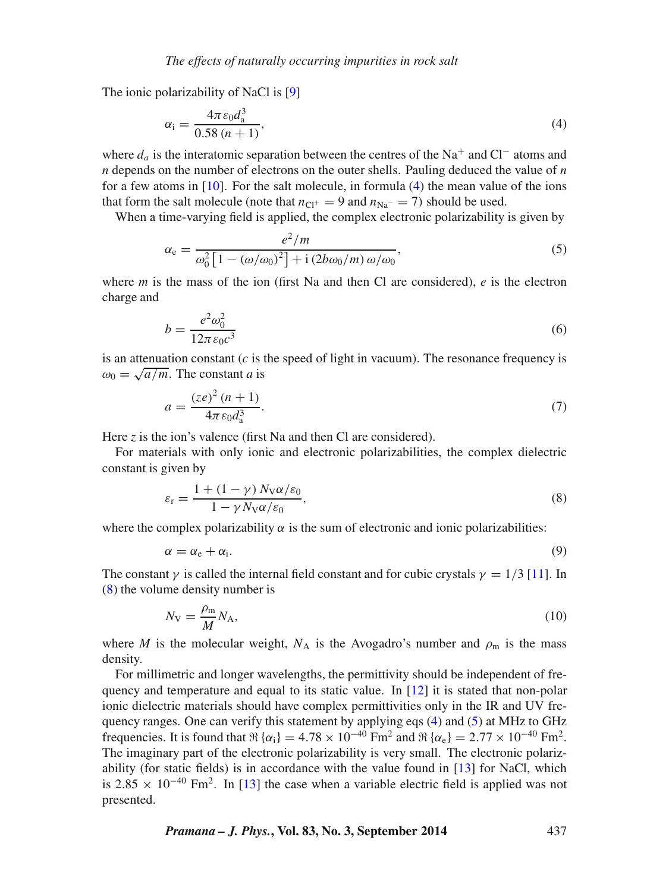The ionic polarizability of NaCl is [\[9\]](#page-12-4)

<span id="page-2-0"></span>
$$
\alpha_{\rm i} = \frac{4\pi \varepsilon_0 d_{\rm a}^3}{0.58 (n+1)},\tag{4}
$$

where  $d_a$  is the interatomic separation between the centres of the Na<sup>+</sup> and Cl<sup>−</sup> atoms and *n* depends on the number of electrons on the outer shells. Pauling deduced the value of *n* for a few atoms in  $[10]$ . For the salt molecule, in formula  $(4)$  the mean value of the ions that form the salt molecule (note that  $n_{\text{Cl}^+} = 9$  and  $n_{\text{Na}^-} = 7$ ) should be used.

When a time-varying field is applied, the complex electronic polarizability is given by

<span id="page-2-2"></span>
$$
\alpha_{\rm e} = \frac{e^2/m}{\omega_0^2 \left[1 - (\omega/\omega_0)^2\right] + \mathrm{i} \left(2b\omega_0/m\right)\omega/\omega_0},\tag{5}
$$

where *m* is the mass of the ion (first Na and then Cl are considered),  $e$  is the electron charge and

$$
b = \frac{e^2 \omega_0^2}{12\pi \varepsilon_0 c^3} \tag{6}
$$

is an attenuation constant (*c* is the speed of light in vacuum). The resonance frequency is  $\omega_0 = \sqrt{a/m}$ . The constant *a* is

$$
a = \frac{(ze)^2 (n+1)}{4\pi \varepsilon_0 d_a^3}.
$$
 (7)

Here *z* is the ion's valence (first Na and then Cl are considered).

For materials with only ionic and electronic polarizabilities, the complex dielectric constant is given by

<span id="page-2-1"></span>
$$
\varepsilon_{\rm r} = \frac{1 + (1 - \gamma) N_{\rm V} \alpha / \varepsilon_0}{1 - \gamma N_{\rm V} \alpha / \varepsilon_0},\tag{8}
$$

where the complex polarizability  $\alpha$  is the sum of electronic and ionic polarizabilities:

$$
\alpha = \alpha_{\rm e} + \alpha_{\rm i}.\tag{9}
$$

The constant  $\gamma$  is called the internal field constant and for cubic crystals  $\gamma = 1/3$  [\[11\]](#page-12-6). In [\(8\)](#page-2-1) the volume density number is

<span id="page-2-3"></span>
$$
N_{\rm V} = \frac{\rho_{\rm m}}{M} N_{\rm A},\tag{10}
$$

where *M* is the molecular weight,  $N_A$  is the Avogadro's number and  $\rho_m$  is the mass density.

For millimetric and longer wavelengths, the permittivity should be independent of frequency and temperature and equal to its static value. In [\[12\]](#page-12-7) it is stated that non-polar ionic dielectric materials should have complex permittivities only in the IR and UV frequency ranges. One can verify this statement by applying eqs [\(4\)](#page-2-0) and [\(5\)](#page-2-2) at MHz to GHz frequencies. It is found that  $\Re\{\alpha_i\} = 4.78 \times 10^{-40}$  Fm<sup>2</sup> and  $\Re\{\alpha_e\} = 2.77 \times 10^{-40}$  Fm<sup>2</sup>. The imaginary part of the electronic polarizability is very small. The electronic polarizability (for static fields) is in accordance with the value found in [\[13\]](#page-12-8) for NaCl, which is 2.85  $\times$  10<sup>-40</sup> Fm<sup>2</sup>. In [\[13\]](#page-12-8) the case when a variable electric field is applied was not presented.

*Pramana – J. Phys.***, Vol. 83, No. 3, September 2014** 437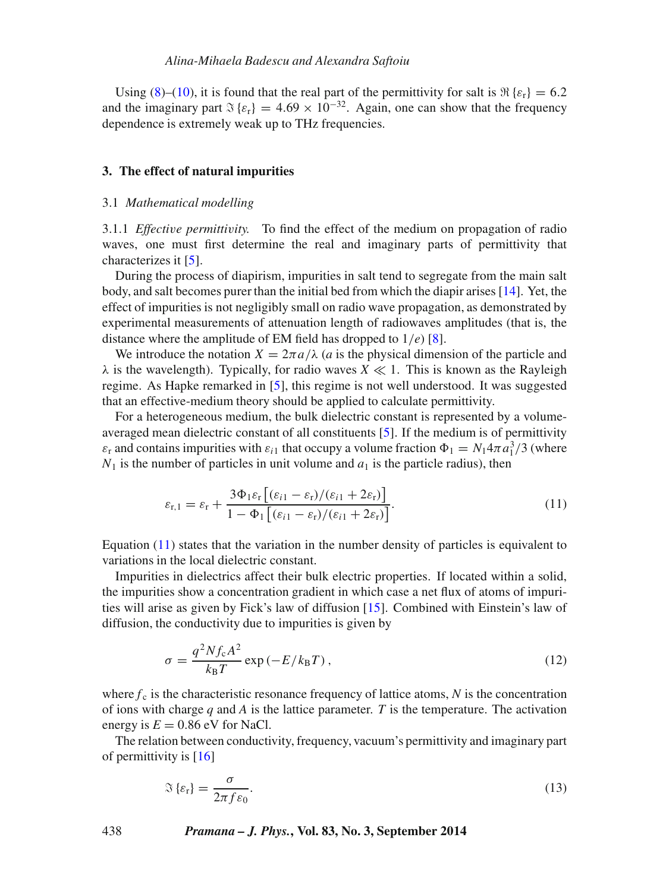Using [\(8\)](#page-2-1)–[\(10\)](#page-2-3), it is found that the real part of the permittivity for salt is  $\Re\{s_r\} = 6.2$ and the imaginary part  $\Im \{\varepsilon_r\} = 4.69 \times 10^{-32}$ . Again, one can show that the frequency dependence is extremely weak up to THz frequencies.

#### <span id="page-3-0"></span>**3. The effect of natural impurities**

#### 3.1 *Mathematical modelling*

3.1.1 *Effecti*v*e permitti*v*ity.* To find the effect of the medium on propagation of radio waves, one must first determine the real and imaginary parts of permittivity that characterizes it [\[5\]](#page-12-2).

During the process of diapirism, impurities in salt tend to segregate from the main salt body, and salt becomes purer than the initial bed from which the diapir arises [\[14\]](#page-12-9). Yet, the effect of impurities is not negligibly small on radio wave propagation, as demonstrated by experimental measurements of attenuation length of radiowaves amplitudes (that is, the distance where the amplitude of EM field has dropped to 1/*e*) [\[8\]](#page-12-3).

We introduce the notation  $X = 2\pi a/\lambda$  (*a* is the physical dimension of the particle and  $\lambda$  is the wavelength). Typically, for radio waves  $X \ll 1$ . This is known as the Rayleigh regime. As Hapke remarked in [\[5\]](#page-12-2), this regime is not well understood. It was suggested that an effective-medium theory should be applied to calculate permittivity.

For a heterogeneous medium, the bulk dielectric constant is represented by a volumeaveraged mean dielectric constant of all constituents [\[5\]](#page-12-2). If the medium is of permittivity  $\varepsilon_r$  and contains impurities with  $\varepsilon_{i1}$  that occupy a volume fraction  $\Phi_1 = N_1 4\pi \overline{a}_1^3/3$  (where  $N_1$  is the number of particles in unit volume and  $a_1$  is the particle radius), then

<span id="page-3-1"></span>
$$
\varepsilon_{\mathbf{r},1} = \varepsilon_{\mathbf{r}} + \frac{3\Phi_1\varepsilon_{\mathbf{r}}\left[ (\varepsilon_{i1} - \varepsilon_{\mathbf{r}}) / (\varepsilon_{i1} + 2\varepsilon_{\mathbf{r}}) \right]}{1 - \Phi_1\left[ (\varepsilon_{i1} - \varepsilon_{\mathbf{r}}) / (\varepsilon_{i1} + 2\varepsilon_{\mathbf{r}}) \right]}.
$$
\n(11)

Equation [\(11\)](#page-3-1) states that the variation in the number density of particles is equivalent to variations in the local dielectric constant.

Impurities in dielectrics affect their bulk electric properties. If located within a solid, the impurities show a concentration gradient in which case a net flux of atoms of impurities will arise as given by Fick's law of diffusion [\[15\]](#page-12-10). Combined with Einstein's law of diffusion, the conductivity due to impurities is given by

$$
\sigma = \frac{q^2 N f_c A^2}{k_B T} \exp\left(-E/k_B T\right),\tag{12}
$$

where  $f_c$  is the characteristic resonance frequency of lattice atoms,  $N$  is the concentration of ions with charge *q* and *A* is the lattice parameter. *T* is the temperature. The activation energy is  $E = 0.86$  eV for NaCl.

The relation between conductivity, frequency, vacuum's permittivity and imaginary part of permittivity is  $[16]$ 

<span id="page-3-2"></span>
$$
\mathfrak{F}\left\{\varepsilon_{\rm r}\right\} = \frac{\sigma}{2\pi f \varepsilon_0}.\tag{13}
$$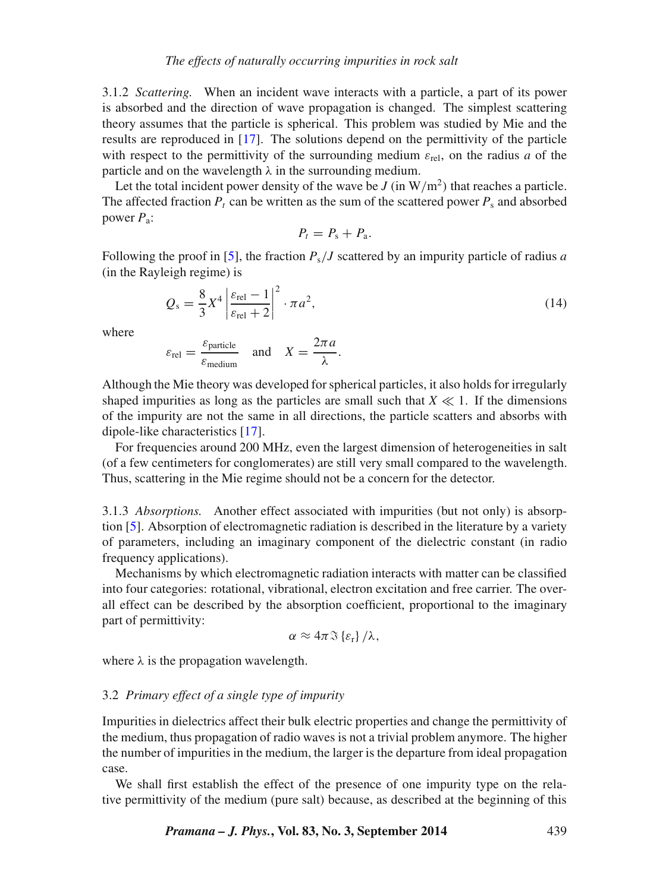3.1.2 *Scattering.* When an incident wave interacts with a particle, a part of its power is absorbed and the direction of wave propagation is changed. The simplest scattering theory assumes that the particle is spherical. This problem was studied by Mie and the results are reproduced in [\[17\]](#page-12-12). The solutions depend on the permittivity of the particle with respect to the permittivity of the surrounding medium  $\varepsilon_{rel}$ , on the radius *a* of the particle and on the wavelength  $\lambda$  in the surrounding medium.

Let the total incident power density of the wave be  $J$  (in  $W/m<sup>2</sup>$ ) that reaches a particle. The affected fraction  $P_t$  can be written as the sum of the scattered power  $P_s$  and absorbed power *P*a:

$$
P_t = P_s + P_a.
$$

Following the proof in [\[5\]](#page-12-2), the fraction *P*s/*J* scattered by an impurity particle of radius *a* (in the Rayleigh regime) is

$$
Q_s = \frac{8}{3}X^4 \left| \frac{\varepsilon_{\text{rel}} - 1}{\varepsilon_{\text{rel}} + 2} \right|^2 \cdot \pi a^2,\tag{14}
$$

where

$$
\varepsilon_{\text{rel}} = \frac{\varepsilon_{\text{particle}}}{\varepsilon_{\text{medium}}}
$$
 and  $X = \frac{2\pi a}{\lambda}$ .

Although the Mie theory was developed for spherical particles, it also holds for irregularly shaped impurities as long as the particles are small such that  $X \ll 1$ . If the dimensions of the impurity are not the same in all directions, the particle scatters and absorbs with dipole-like characteristics [\[17\]](#page-12-12).

For frequencies around 200 MHz, even the largest dimension of heterogeneities in salt (of a few centimeters for conglomerates) are still very small compared to the wavelength. Thus, scattering in the Mie regime should not be a concern for the detector.

3.1.3 *Absorptions.* Another effect associated with impurities (but not only) is absorption [\[5\]](#page-12-2). Absorption of electromagnetic radiation is described in the literature by a variety of parameters, including an imaginary component of the dielectric constant (in radio frequency applications).

Mechanisms by which electromagnetic radiation interacts with matter can be classified into four categories: rotational, vibrational, electron excitation and free carrier. The overall effect can be described by the absorption coefficient, proportional to the imaginary part of permittivity:

$$
\alpha \approx 4\pi \Im \left\{ \varepsilon_{r}\right\} /\lambda ,
$$

where  $\lambda$  is the propagation wavelength.

## <span id="page-4-0"></span>3.2 *Primary effect of a single type of impurity*

Impurities in dielectrics affect their bulk electric properties and change the permittivity of the medium, thus propagation of radio waves is not a trivial problem anymore. The higher the number of impurities in the medium, the larger is the departure from ideal propagation case.

We shall first establish the effect of the presence of one impurity type on the relative permittivity of the medium (pure salt) because, as described at the beginning of this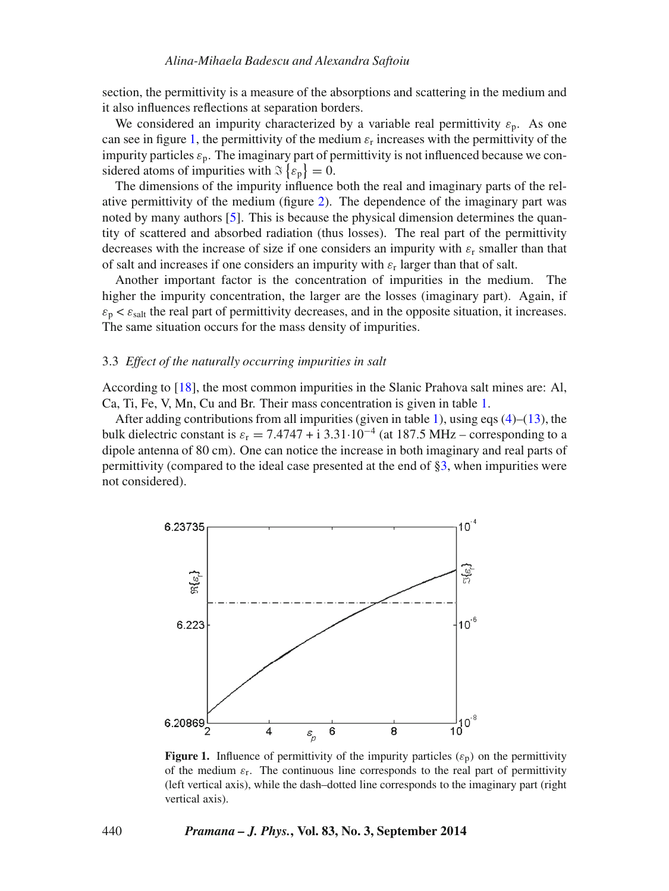section, the permittivity is a measure of the absorptions and scattering in the medium and it also influences reflections at separation borders.

We considered an impurity characterized by a variable real permittivity  $\varepsilon_p$ . As one can see in figure [1,](#page-5-0) the permittivity of the medium  $\varepsilon_r$  increases with the permittivity of the impurity particles  $\varepsilon_p$ . The imaginary part of permittivity is not influenced because we considered atoms of impurities with  $\Im\{\varepsilon_p\}=0$ .

The dimensions of the impurity influence both the real and imaginary parts of the relative permittivity of the medium (figure [2\)](#page-6-0). The dependence of the imaginary part was noted by many authors [\[5\]](#page-12-2). This is because the physical dimension determines the quantity of scattered and absorbed radiation (thus losses). The real part of the permittivity decreases with the increase of size if one considers an impurity with  $\varepsilon_r$  smaller than that of salt and increases if one considers an impurity with  $\varepsilon_r$  larger than that of salt.

Another important factor is the concentration of impurities in the medium. The higher the impurity concentration, the larger are the losses (imaginary part). Again, if  $\varepsilon_p < \varepsilon_{\text{salt}}$  the real part of permittivity decreases, and in the opposite situation, it increases. The same situation occurs for the mass density of impurities.

#### 3.3 *Effect of the naturally occurring impurities in salt*

According to [\[18\]](#page-12-13), the most common impurities in the Slanic Prahova salt mines are: Al, Ca, Ti, Fe, V, Mn, Cu and Br. Their mass concentration is given in table [1.](#page-6-1)

After adding contributions from all impurities (given in table [1\)](#page-6-1), using eqs  $(4)$ – $(13)$ , the bulk dielectric constant is  $\varepsilon_r = 7.4747 + i 3.31 \cdot 10^{-4}$  (at 187.5 MHz – corresponding to a dipole antenna of 80 cm). One can notice the increase in both imaginary and real parts of permittivity (compared to the ideal case presented at the end of [§3,](#page-3-0) when impurities were not considered).

<span id="page-5-0"></span>

**Figure 1.** Influence of permittivity of the impurity particles  $(\varepsilon_p)$  on the permittivity of the medium  $\varepsilon_r$ . The continuous line corresponds to the real part of permittivity (left vertical axis), while the dash–dotted line corresponds to the imaginary part (right vertical axis).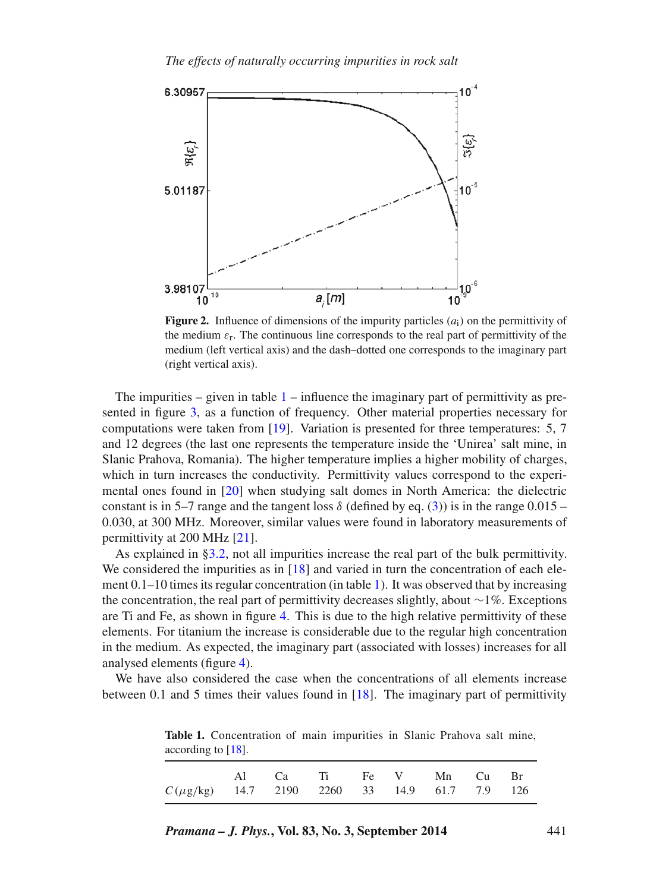<span id="page-6-0"></span>

**Figure 2.** Influence of dimensions of the impurity particles  $(a_i)$  on the permittivity of the medium  $\varepsilon_r$ . The continuous line corresponds to the real part of permittivity of the medium (left vertical axis) and the dash–dotted one corresponds to the imaginary part (right vertical axis).

The impurities – given in table  $1$  – influence the imaginary part of permittivity as presented in figure [3,](#page-7-0) as a function of frequency. Other material properties necessary for computations were taken from [\[19\]](#page-12-14). Variation is presented for three temperatures: 5, 7 and 12 degrees (the last one represents the temperature inside the 'Unirea' salt mine, in Slanic Prahova, Romania). The higher temperature implies a higher mobility of charges, which in turn increases the conductivity. Permittivity values correspond to the experimental ones found in [\[20\]](#page-12-15) when studying salt domes in North America: the dielectric constant is in 5–7 range and the tangent loss  $\delta$  (defined by eq. [\(3\)](#page-1-1)) is in the range 0.015 – 0.030, at 300 MHz. Moreover, similar values were found in laboratory measurements of permittivity at 200 MHz [\[21\]](#page-12-16).

As explained in [§3.2,](#page-4-0) not all impurities increase the real part of the bulk permittivity. We considered the impurities as in  $[18]$  and varied in turn the concentration of each element 0.1–10 times its regular concentration (in table [1\)](#page-6-1). It was observed that by increasing the concentration, the real part of permittivity decreases slightly, about ∼1%. Exceptions are Ti and Fe, as shown in figure [4.](#page-8-0) This is due to the high relative permittivity of these elements. For titanium the increase is considerable due to the regular high concentration in the medium. As expected, the imaginary part (associated with losses) increases for all analysed elements (figure [4\)](#page-8-0).

<span id="page-6-1"></span>We have also considered the case when the concentrations of all elements increase between 0.1 and 5 times their values found in [\[18\]](#page-12-13). The imaginary part of permittivity

according to [\[18\]](#page-12-13). Al Ca Ti Fe V Mn Cu Br

*C* (μg/kg) 14.7 2190 2260 33 14.9 61.7 7.9 126

**Table 1.** Concentration of main impurities in Slanic Prahova salt mine,

| <i>Pramana – J. Phys.</i> , Vol. 83, No. 3, September 2014 |  |  |
|------------------------------------------------------------|--|--|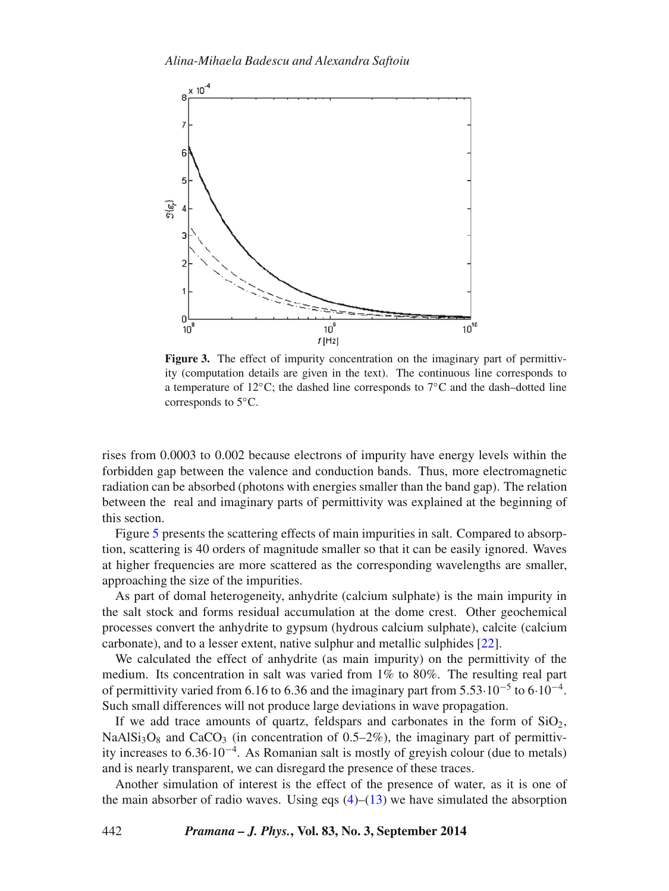<span id="page-7-0"></span>

**Figure 3.** The effect of impurity concentration on the imaginary part of permittivity (computation details are given in the text). The continuous line corresponds to a temperature of 12◦C; the dashed line corresponds to 7◦C and the dash–dotted line corresponds to 5◦C.

rises from 0.0003 to 0.002 because electrons of impurity have energy levels within the forbidden gap between the valence and conduction bands. Thus, more electromagnetic radiation can be absorbed (photons with energies smaller than the band gap). The relation between the real and imaginary parts of permittivity was explained at the beginning of this section.

Figure [5](#page-9-0) presents the scattering effects of main impurities in salt. Compared to absorption, scattering is 40 orders of magnitude smaller so that it can be easily ignored. Waves at higher frequencies are more scattered as the corresponding wavelengths are smaller, approaching the size of the impurities.

As part of domal heterogeneity, anhydrite (calcium sulphate) is the main impurity in the salt stock and forms residual accumulation at the dome crest. Other geochemical processes convert the anhydrite to gypsum (hydrous calcium sulphate), calcite (calcium carbonate), and to a lesser extent, native sulphur and metallic sulphides [\[22\]](#page-12-17).

We calculated the effect of anhydrite (as main impurity) on the permittivity of the medium. Its concentration in salt was varied from 1% to 80%. The resulting real part of permittivity varied from 6.16 to 6.36 and the imaginary part from 5.53 $\cdot 10^{-5}$  to 6 $\cdot 10^{-4}$ . Such small differences will not produce large deviations in wave propagation.

If we add trace amounts of quartz, feldspars and carbonates in the form of  $SiO<sub>2</sub>$ , NaAlSi<sub>3</sub>O<sub>8</sub> and CaCO<sub>3</sub> (in concentration of 0.5–2%), the imaginary part of permittivity increases to 6.36·10<sup>−</sup>4. As Romanian salt is mostly of greyish colour (due to metals) and is nearly transparent, we can disregard the presence of these traces.

Another simulation of interest is the effect of the presence of water, as it is one of the main absorber of radio waves. Using eqs  $(4)$ – $(13)$  we have simulated the absorption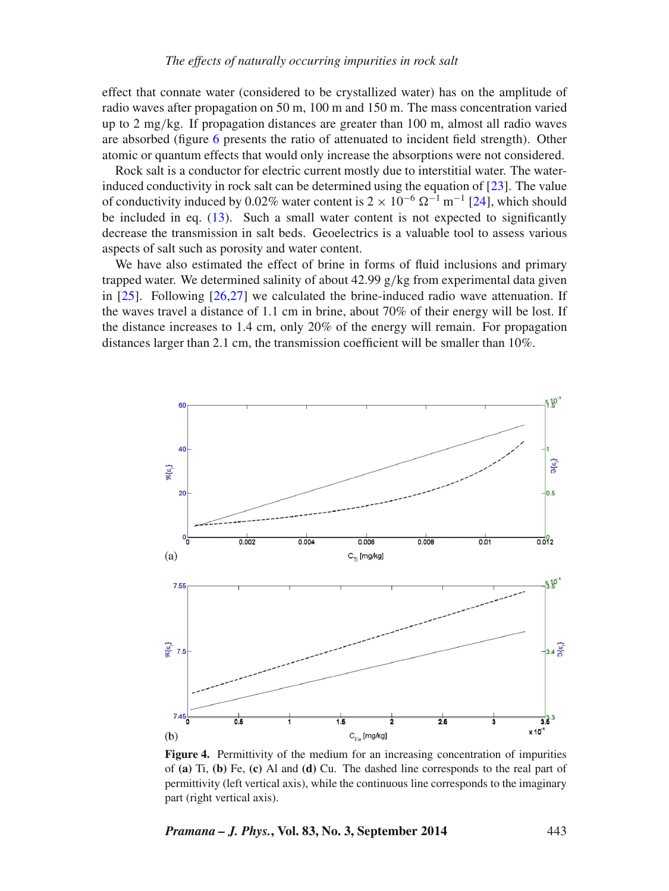effect that connate water (considered to be crystallized water) has on the amplitude of radio waves after propagation on 50 m, 100 m and 150 m. The mass concentration varied up to 2 mg/kg. If propagation distances are greater than 100 m, almost all radio waves are absorbed (figure [6](#page-10-0) presents the ratio of attenuated to incident field strength). Other atomic or quantum effects that would only increase the absorptions were not considered.

Rock salt is a conductor for electric current mostly due to interstitial water. The waterinduced conductivity in rock salt can be determined using the equation of [\[23\]](#page-12-18). The value of conductivity induced by 0.02% water content is  $2 \times 10^{-6}$   $\Omega^{-1}$  m<sup>-1</sup> [\[24\]](#page-12-19), which should be included in eq. [\(13\)](#page-3-2). Such a small water content is not expected to significantly decrease the transmission in salt beds. Geoelectrics is a valuable tool to assess various aspects of salt such as porosity and water content.

We have also estimated the effect of brine in forms of fluid inclusions and primary trapped water. We determined salinity of about  $42.99 \text{ g/kg}$  from experimental data given in [\[25\]](#page-12-20). Following [26,27] we calculated the brine-induced radio wave attenuation. If the waves travel a distance of 1.1 cm in brine, about 70% of their energy will be lost. If the distance increases to 1.4 cm, only 20% of the energy will remain. For propagation distances larger than 2.1 cm, the transmission coefficient will be smaller than 10%.

<span id="page-8-0"></span>

**Figure 4.** Permittivity of the medium for an increasing concentration of impurities of **(a)** Ti, **(b)** Fe, **(c)** Al and **(d)** Cu. The dashed line corresponds to the real part of permittivity (left vertical axis), while the continuous line corresponds to the imaginary part (right vertical axis).

*Pramana – J. Phys.***, Vol. 83, No. 3, September 2014** 443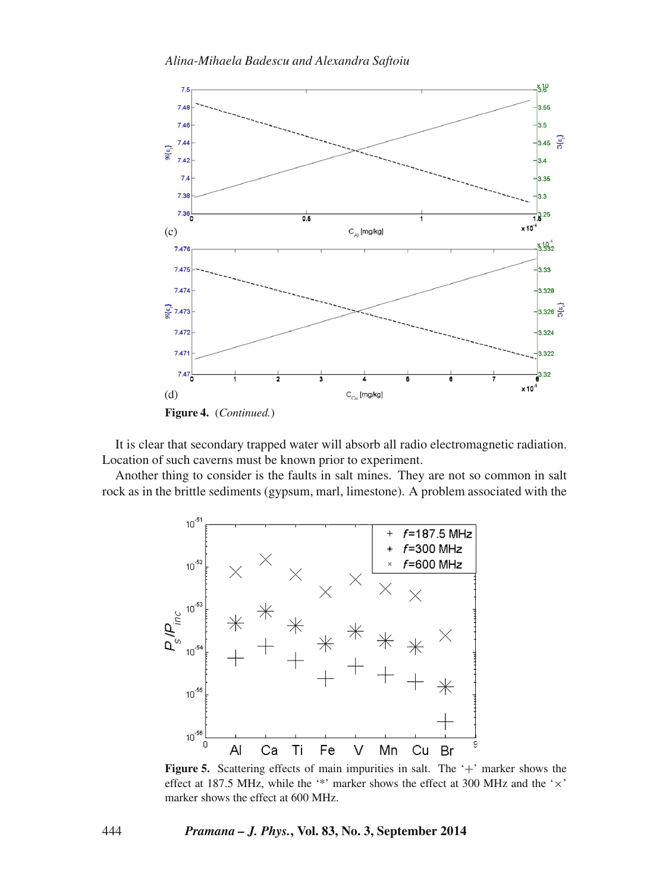

It is clear that secondary trapped water will absorb all radio electromagnetic radiation. Location of such caverns must be known prior to experiment.

<span id="page-9-0"></span>Another thing to consider is the faults in salt mines. They are not so common in salt rock as in the brittle sediments (gypsum, marl, limestone). A problem associated with the



**Figure 5.** Scattering effects of main impurities in salt. The '+' marker shows the effect at 187.5 MHz, while the '\*' marker shows the effect at 300 MHz and the '×' marker shows the effect at 600 MHz.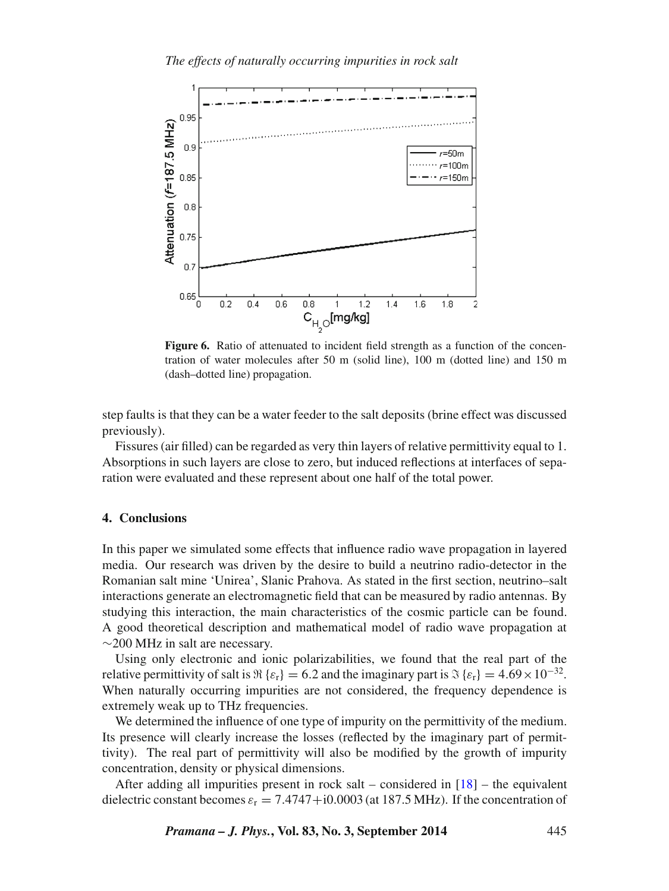<span id="page-10-0"></span>

Figure 6. Ratio of attenuated to incident field strength as a function of the concentration of water molecules after 50 m (solid line), 100 m (dotted line) and 150 m (dash–dotted line) propagation.

step faults is that they can be a water feeder to the salt deposits (brine effect was discussed previously).

Fissures (air filled) can be regarded as very thin layers of relative permittivity equal to 1. Absorptions in such layers are close to zero, but induced reflections at interfaces of separation were evaluated and these represent about one half of the total power.

# **4. Conclusions**

In this paper we simulated some effects that influence radio wave propagation in layered media. Our research was driven by the desire to build a neutrino radio-detector in the Romanian salt mine 'Unirea', Slanic Prahova. As stated in the first section, neutrino–salt interactions generate an electromagnetic field that can be measured by radio antennas. By studying this interaction, the main characteristics of the cosmic particle can be found. A good theoretical description and mathematical model of radio wave propagation at ∼200 MHz in salt are necessary.

Using only electronic and ionic polarizabilities, we found that the real part of the relative permittivity of salt is  $\Re\{\varepsilon_r\} = 6.2$  and the imaginary part is  $\Im\{\varepsilon_r\} = 4.69 \times 10^{-32}$ . When naturally occurring impurities are not considered, the frequency dependence is extremely weak up to THz frequencies.

We determined the influence of one type of impurity on the permittivity of the medium. Its presence will clearly increase the losses (reflected by the imaginary part of permittivity). The real part of permittivity will also be modified by the growth of impurity concentration, density or physical dimensions.

After adding all impurities present in rock salt – considered in  $[18]$  – the equivalent dielectric constant becomes  $\varepsilon_r = 7.4747 + i0.0003$  (at 187.5 MHz). If the concentration of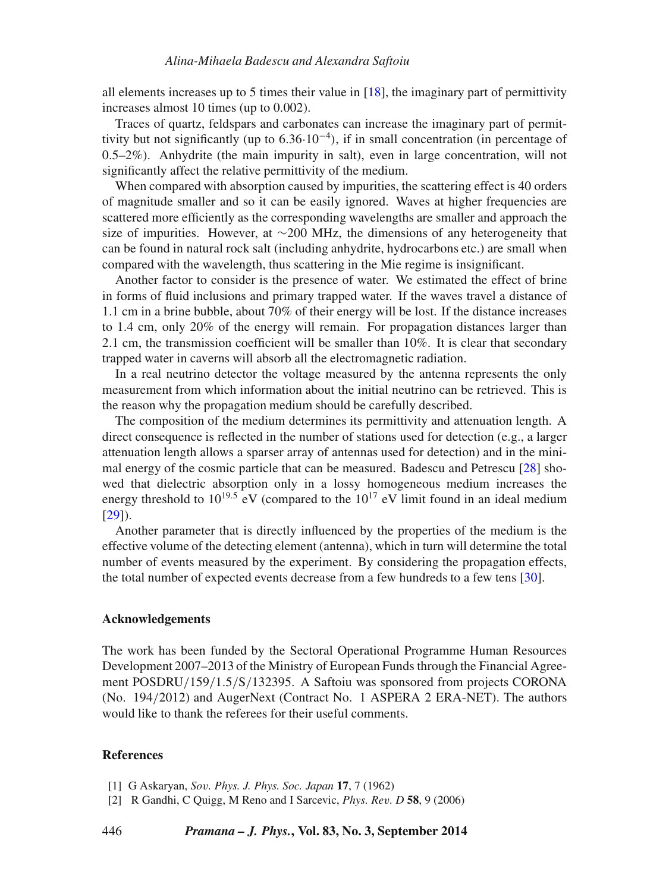all elements increases up to 5 times their value in  $[18]$ , the imaginary part of permittivity increases almost 10 times (up to 0.002).

Traces of quartz, feldspars and carbonates can increase the imaginary part of permittivity but not significantly (up to  $6.36 \cdot 10^{-4}$ ), if in small concentration (in percentage of 0.5–2%). Anhydrite (the main impurity in salt), even in large concentration, will not significantly affect the relative permittivity of the medium.

When compared with absorption caused by impurities, the scattering effect is 40 orders of magnitude smaller and so it can be easily ignored. Waves at higher frequencies are scattered more efficiently as the corresponding wavelengths are smaller and approach the size of impurities. However, at ∼200 MHz, the dimensions of any heterogeneity that can be found in natural rock salt (including anhydrite, hydrocarbons etc.) are small when compared with the wavelength, thus scattering in the Mie regime is insignificant.

Another factor to consider is the presence of water. We estimated the effect of brine in forms of fluid inclusions and primary trapped water. If the waves travel a distance of 1.1 cm in a brine bubble, about 70% of their energy will be lost. If the distance increases to 1.4 cm, only 20% of the energy will remain. For propagation distances larger than 2.1 cm, the transmission coefficient will be smaller than 10%. It is clear that secondary trapped water in caverns will absorb all the electromagnetic radiation.

In a real neutrino detector the voltage measured by the antenna represents the only measurement from which information about the initial neutrino can be retrieved. This is the reason why the propagation medium should be carefully described.

The composition of the medium determines its permittivity and attenuation length. A direct consequence is reflected in the number of stations used for detection (e.g., a larger attenuation length allows a sparser array of antennas used for detection) and in the minimal energy of the cosmic particle that can be measured. Badescu and Petrescu [\[28\]](#page-12-21) showed that dielectric absorption only in a lossy homogeneous medium increases the energy threshold to  $10^{19.5}$  eV (compared to the  $10^{17}$  eV limit found in an ideal medium [\[29\]](#page-12-22)).

Another parameter that is directly influenced by the properties of the medium is the effective volume of the detecting element (antenna), which in turn will determine the total number of events measured by the experiment. By considering the propagation effects, the total number of expected events decrease from a few hundreds to a few tens [\[30\]](#page-12-23).

#### **Acknowledgements**

The work has been funded by the Sectoral Operational Programme Human Resources Development 2007–2013 of the Ministry of European Funds through the Financial Agreement POSDRU/159/1.5/S/132395. A Saftoiu was sponsored from projects CORONA (No. 194/2012) and AugerNext (Contract No. 1 ASPERA 2 ERA-NET). The authors would like to thank the referees for their useful comments.

# **References**

- <span id="page-11-0"></span>[1] G Askaryan, *So*v*. Phys. J. Phys. Soc. Japan* **17**, 7 (1962)
- <span id="page-11-1"></span>[2] R Gandhi, C Quigg, M Reno and I Sarcevic, *Phys. Re*v*. D* **58**, 9 (2006)